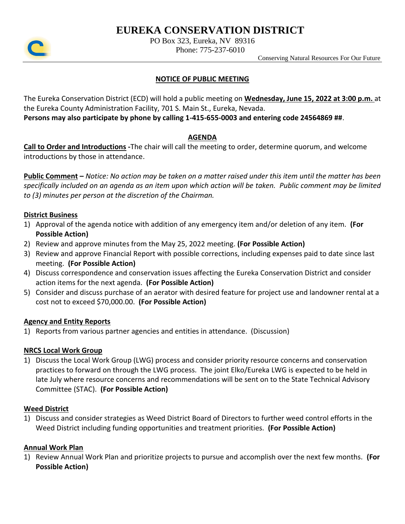# **EUREKA CONSERVATION DISTRICT**



PO Box 323, Eureka, NV 89316

Phone: 775-237-6010

Conserving Natural Resources For Our Future

# **NOTICE OF PUBLIC MEETING**

The Eureka Conservation District (ECD) will hold a public meeting on **Wednesday, June 15, 2022 at 3:00 p.m.** at the Eureka County Administration Facility, 701 S. Main St., Eureka, Nevada.

**Persons may also participate by phone by calling 1-415-655-0003 and entering code 24564869 ##**.

## **AGENDA**

**Call to Order and Introductions -**The chair will call the meeting to order, determine quorum, and welcome introductions by those in attendance.

**Public Comment –** *Notice: No action may be taken on a matter raised under this item until the matter has been specifically included on an agenda as an item upon which action will be taken. Public comment may be limited to (3) minutes per person at the discretion of the Chairman.*

# **District Business**

- 1) Approval of the agenda notice with addition of any emergency item and/or deletion of any item. **(For Possible Action)**
- 2) Review and approve minutes from the May 25, 2022 meeting. **(For Possible Action)**
- 3) Review and approve Financial Report with possible corrections, including expenses paid to date since last meeting. **(For Possible Action)**
- 4) Discuss correspondence and conservation issues affecting the Eureka Conservation District and consider action items for the next agenda. **(For Possible Action)**
- 5) Consider and discuss purchase of an aerator with desired feature for project use and landowner rental at a cost not to exceed \$70,000.00. **(For Possible Action)**

## **Agency and Entity Reports**

1) Reports from various partner agencies and entities in attendance. (Discussion)

## **NRCS Local Work Group**

1) Discuss the Local Work Group (LWG) process and consider priority resource concerns and conservation practices to forward on through the LWG process. The joint Elko/Eureka LWG is expected to be held in late July where resource concerns and recommendations will be sent on to the State Technical Advisory Committee (STAC). **(For Possible Action)**

# **Weed District**

1) Discuss and consider strategies as Weed District Board of Directors to further weed control efforts in the Weed District including funding opportunities and treatment priorities. **(For Possible Action)**

# **Annual Work Plan**

1) Review Annual Work Plan and prioritize projects to pursue and accomplish over the next few months. **(For Possible Action)**